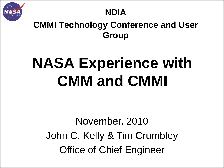

# **NDIA**

## **CMMI Technology Conference and User Group**

# **NASA Experience with CMM and CMMI**

# November, 2010 John C. Kelly & Tim Crumbley Office of Chief Engineer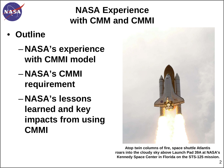

# **NASA Experience with CMM and CMMI**

# • **Outline**

- **NASA's experience with CMMI model**
- **NASA's CMMI requirement**
- **NASA's lessons learned and key impacts from using CMMI**



**Atop twin columns of fire, space shuttle Atlantis roars into the cloudy sky above Launch Pad 39A at NASA's Kennedy Space Center in Florida on the STS-125 mission.**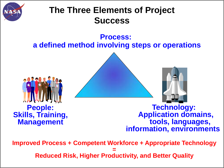

# **The Three Elements of Project Success**

#### **Process: a defined method involving steps or operations**





**Technology: Application domains, tools, languages, information, environments**

**Improved Process + Competent Workforce + Appropriate Technology = Reduced Risk, Higher Productivity, and Better Quality**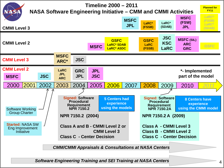

*Software Engineering Training and SEI Training at NASA Centers*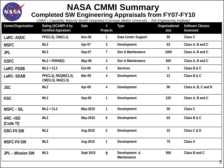

#### **NASA CMMI Summary Completed SW Engineering Appraisals from FY07-FY10**

*CMMI = Capability Maturity Model Integrated (Carnegie Mellon University – SW Engineering Institute)*

| Center/Organization     | Rating (SCAMPI A by<br><b>Certified Appraiser)</b> | Date             | #<br>Projects  | <b>Type</b>                  | Organizational<br>size | <b>Software Classes</b><br>Assessed |
|-------------------------|----------------------------------------------------|------------------|----------------|------------------------------|------------------------|-------------------------------------|
| LaRC-ASDC               | PP(CL3), CM(CL1)                                   | Nov-06           | 1              | Data Center Support          | 85                     | Class C                             |
| <b>MSFC</b>             | ML3                                                | Apr-07           | 3              | Development                  | 63                     | Class A, B and C                    |
| <b>JPL</b>              | ML3                                                | Sep-07           | 7              | Dev & Maintenance            | 1000                   | Class A, B and C                    |
| <b>GSFC</b>             | $ML2 + RSKM(2)$                                    | May-08           | 4              | Dev & Maintenance            | 600                    | Class A, B and C                    |
| LaRC-FSSB               | $ML2 + CL3$                                        | Oct-08           | 3              | <b>Services</b>              | 5                      | Class B & C                         |
| LaRC-SDAB               | PP(CL3), REQM(CL3),<br>CM(CL3), MA(CL3)            | Mar-09           | 4              | Development                  | 21                     | Class B & C                         |
| <b>JSC</b>              | ML <sub>2</sub>                                    | Apr-09           | 4              | Development                  | 90                     | Class A, B, C and D                 |
| <b>KSC</b>              | ML <sub>2</sub>                                    | Sep-09           | 1              | Development                  | 225                    | Class A, B and C                    |
| <b>MSFC-SIL</b>         | $ML2 + CL3$                                        | May-2010         | 1              | Development                  | 50                     | Class C                             |
| ARC-ISD<br>(Code TI)    | ML <sub>2</sub>                                    | May-2010         | 6              | Development                  | 63                     | Class B & C                         |
| <b>GRC-FIt SW</b>       | ML <sub>2</sub>                                    | Aug 2010         | $\overline{2}$ | Development                  | 22                     | Class C & D                         |
| <b>MSFC-FIt SW</b>      | ML3                                                | Aug 2010         | $\mathbf{1}$   | Development                  | 75                     | Class A                             |
| <b>JPL - Mission SW</b> | ML3                                                | <b>Sept 2010</b> | 9              | Development &<br>Maintenance | 950                    | Class B and C<br>5                  |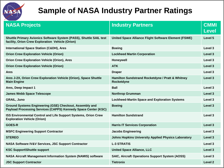

#### **Sample of NASA Industry Partner Ratings**

| <b>NASA Projects</b>                                                                                                      | <b>Industry Partners</b>                                       | <b>CMMI</b><br><b>Level</b> |
|---------------------------------------------------------------------------------------------------------------------------|----------------------------------------------------------------|-----------------------------|
| Shuttle Primary Avionics Software System (PASS), Shuttle SAIL test<br>facility, Orion Crew Exploration Vehicle (Orion)    | United Space Alliance Flight Software Element (FSWE)           | Level 5                     |
| <b>International Space Station (C&amp;DH), Ares</b>                                                                       | <b>Boeing</b>                                                  | Level 3                     |
| <b>Orion Crew Exploration Vehicle (Orion)</b>                                                                             | <b>Lockheed Martin Corporation</b>                             | Level 3                     |
| <b>Orion Crew Exploration Vehicle (Orion), Ares</b>                                                                       | Honeywell                                                      | Level 3                     |
| <b>Orion Crew Exploration Vehicle (Orion)</b>                                                                             | <b>ATK</b>                                                     | Level 3                     |
| <b>Ares</b>                                                                                                               | <b>Draper</b>                                                  | Level 3                     |
| Ares J-2X, Orion Crew Exploration Vehicle (Orion), Space Shuttle<br><b>Main Engine</b>                                    | Hamilton Sundstrand Rocketdyne / Pratt & Whitney<br>Rocketdyne | Level 3                     |
| Ares, Deep Impact 1                                                                                                       | <b>Ball</b>                                                    | Level 3                     |
| <b>James Webb Space Telescope</b>                                                                                         | <b>Northrop Grumman</b>                                        | Level 3                     |
| <b>GRAIL, Juno</b>                                                                                                        | <b>Lockheed-Martin Space and Exploration Systems</b>           | Level 3                     |
| Ground Systems Engineering (GSE) Checkout, Assembly and<br>Payload Processing Services (CAPPS) Kennedy Space Center (KSC) | <b>Boeing</b>                                                  | Level 3                     |
| ISS Environmental Control and Life Support Systems, Orion Crew<br><b>Exploration Vehicle (Orion)</b>                      | <b>Hamilton Sundstrand</b>                                     | Level 3                     |
| <b>GOES-R</b>                                                                                                             | <b>Harris IT Services Corporation</b>                          | Level 3                     |
| <b>MSFC Engineering Support Contractor</b>                                                                                | <b>Jacobs Engineering</b>                                      | Level 3                     |
| <b>STEREO</b>                                                                                                             | <b>Johns Hopkins University Applied Physics Laboratory</b>     | Level 3                     |
| NASA Software IV&V Services, JSC Support Contractor                                                                       | <b>L-3 STRATIS</b>                                             | Level 3                     |
| <b>KSC Support\Shuttle support</b>                                                                                        | <b>United Space Alliance, LLC</b>                              | Level 3                     |
| NASA Aircraft Management Information System (NAMIS) software                                                              | <b>SAIC, Aircraft Operations Support System (AOSS)</b>         | Level 3                     |
| <b>JSC Support Contractor</b>                                                                                             | <b>Tietronix</b>                                               | Level <sub>2</sub>          |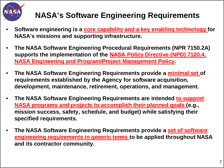

### **NASA's Software Engineering Requirements**

- **Software engineering is a core capability and a key enabling technology for NASA's missions and supporting infrastructure.**
- **The NASA Software Engineering Procedural Requirements (NPR 7150.2A) supports the implementation of the NASA Policy Directive (NPD) 7120.4, NASA Engineering and Program/Project Management Policy.**
- **The NASA Software Engineering Requirements provide a minimal set of requirements established by the Agency for software acquisition, development, maintenance, retirement, operations, and management.**
- **The NASA Software Engineering Requirements are intended to support NASA programs and projects to accomplish their planned goals (e.g., mission success, safety, schedule, and budget) while satisfying their specified requirements.**
- **The NASA Software Engineering Requirements provide a set of software engineering requirements in generic terms to be applied throughout NASA and its contractor community.**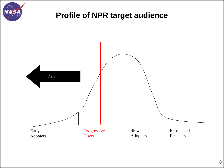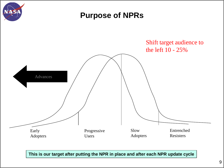

**This is our target after putting the NPR in place and after each NPR update cycle**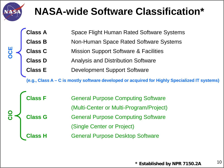

# **NASA-wide Software Classification\***

| OCE |                                        | <b>Space Flight Human Rated Software Systems</b> |  |
|-----|----------------------------------------|--------------------------------------------------|--|
|     | <b>Class A<br/>Class B<br/>Class C</b> | Non-Human Space Rated Software Systems           |  |
|     |                                        | <b>Mission Support Software &amp; Facilities</b> |  |
|     | <b>Class D</b>                         | <b>Analysis and Distribution Software</b>        |  |
|     | <b>Class E</b>                         | <b>Development Support Software</b>              |  |
|     |                                        |                                                  |  |

**(e.g., Class A – C is mostly software developed or acquired for Highly Specialized IT systems)**

|               | <b>Class F</b> | <b>General Purpose Computing Software</b> |
|---------------|----------------|-------------------------------------------|
|               |                | (Multi-Center or Multi-Program/Project)   |
| $\frac{8}{5}$ | <b>Class G</b> | <b>General Purpose Computing Software</b> |
|               |                | (Single Center or Project)                |
|               | <b>Class H</b> | <b>General Purpose Desktop Software</b>   |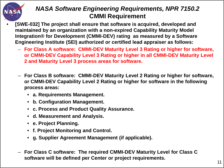

#### *NASA Software Engineering Requirements, NPR 7150.2*  **CMMI Requirement**

- **[SWE-032] The project shall ensure that software is acquired, developed and maintained by an organization with a non-expired Capability Maturity Model Integration® for Development (CMMI-DEV) rating as measured by a Software Engineering Institute (SEI) authorized or certified lead appraiser as follows:**
	- **For Class A software: CMMI-DEV Maturity Level 3 Rating or higher for software, or CMMI-DEV Capability Level 3 Rating or higher in all CMMI-DEV Maturity Level 2 and Maturity Level 3 process areas for software.**
	- **For Class B software: CMMI-DEV Maturity Level 2 Rating or higher for software, or CMMI-DEV Capability Level 2 Rating or higher for software in the following process areas:**
		- **a. Requirements Management.**
		- **b. Configuration Management.**
		- **c. Process and Product Quality Assurance.**
		- **d. Measurement and Analysis.**
		- **e. Project Planning.**
		- **f. Project Monitoring and Control.**
		- **g. Supplier Agreement Management (if applicable).**
	- **For Class C software: The required CMMI-DEV Maturity Level for Class C software will be defined per Center or project requirements.** 11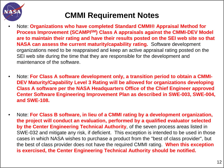

#### **CMMI Requirement Notes**

- Note: **Organizations who have completed Standard CMMI® Appraisal Method for Process Improvement (SCAMPISM) Class A appraisals against the CMMI-DEV Model are to maintain their rating and have their results posted on the SEI web site so that NASA can assess the current maturity/capability rating.** Software development organizations need to be reappraised and keep an active appraisal rating posted on the SEI web site during the time that they are responsible for the development and maintenance of the software.
- Note: **For Class A software development only, a transition period to obtain a CMMI-DEV Maturity/Capability Level 3 Rating will be allowed for organizations developing Class A software per the NASA Headquarters Office of the Chief Engineer approved Center Software Engineering Improvement Plan as described in SWE-003, SWE-004, and SWE-108.**
- Note: **For Class B software, in lieu of a CMMI rating by a development organization, the project will conduct an evaluation, performed by a qualified evaluator selected by the Center Engineering Technical Authority**, of the seven process areas listed in SWE-032 and mitigate any risk, if deficient. This exception is intended to be used in those cases in which NASA wishes to purchase a product from the "best of class provider", but the best of class provider does not have the required CMMI rating. **When this exception is exercised, the Center Engineering Technical Authority should be notified.**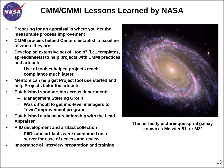

#### **CMM/CMMI Lessons Learned by NASA**

- **Preparing for an appraisal is where you get the measurable process improvement**
- **CMMI process helped Centers establish a baseline of where they are**
- **Develop an extensive set of "tools" (i.e., templates, spreadsheets) to help projects with CMMI practices and artifacts**
	- **Use of toolset helped projects reach compliance much faster**
- **Mentors can help get Project tool use started and help Projects tailor the artifacts**
- **Established sponsorship across departments**
	- **Management Steering Group**
	- **Was difficult to get mid-level managers to "own" improvement program**
- **Established early on a relationship with the Lead Appraiser**
- **PIID development and artifact collection**
	- **PIIDs and artifacts were maintained on a server for ease of access and review**
- **Importance of interview preparation and training**



**The perfectly picturesque spiral galaxy known as Messier 81, or M81**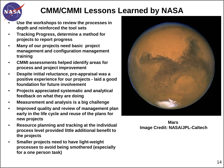

#### **CMM/CMMI Lessons Learned by NASA**

- **Use the workshops to review the processes in depth and reinforced the tool sets**
- **Tracking Progress, determine a method for projects to report progress**
- **Many of our projects need basic project management and configuration management training**
- **CMMI assessments helped identify areas for process and project improvement**
- **Despite initial reluctance, pre-appraisal was a positive experience for our projects - laid a good foundation for future involvement**
- **Projects appreciated systematic and analytical feedback on what they are doing**
- **Measurement and analysis is a big challenge**
- **Improved quality and review of management plan early in the life cycle and reuse of the plans for new projects**
- **Resource planning and tracking at the individual process level provided little additional benefit to the projects**
- **Smaller projects need to have light-weight processes to avoid being smothered (especially for a one person task)**



**Mars Image Credit: NASA/JPL-Caltech**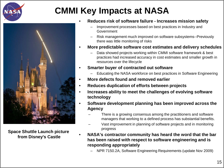





**Space Shuttle Launch picture from Disney's Castle**

- **Reduces risk of software failure - Increases mission safety**
	- Improvement processes based on best practices in Industry and Government
	- Risk management much improved on software subsystems--Previously there was little monitoring of risks
- **More predictable software cost estimates and delivery schedules**
	- Data showed projects working within CMMI software framework & best practices had increased accuracy in cost estimates and smaller growth in resources over the lifecycle
- **Smarter buyer of contracted out software**
	- Educating the NASA workforce on best practices in Software Engineering
- **More defects found and removed earlier**
- **Reduces duplication of efforts between projects**
- **Increases ability to meet the challenges of evolving software technology**
- **Software development planning has been improved across the Agency**
	- There is a growing consensus among the practitioners and software managers that working to a defined process has substantial benefits.
	- Vast improvement in planning of software projects and in monitoring progress
- **NASA's contractor community has heard the word that the bar has been raised with respect to software engineering and is responding appropriately**
	- NPR 7150.2A, Software Engineering Requirements (update Nov 2009)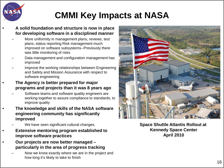

# **CMMI Key Impacts at NASA**

- **A solid foundation and structure is now in place for developing software in a disciplined manner**
	- More uniformity in management plans, reviews, test plans, status reporting Risk management much improved on software subsystems--Previously there was little monitoring of risks
	- Data management and configuration management has improved
	- Improve the working relationships between Engineering and Safety and Mission Assurance with respect to software engineering
- **The Agency is better prepared for major programs and projects than it was 8 years ago**
	- Software teams and software quality engineers are working together to assure compliance to standards, to improve quality
- **The knowledge and skills of the NASA software engineering community has significantly improved**
	- We have seen significant cultural changes.
- **Extensive mentoring program established to improve software practices**
- **Our projects are now better managed – particularly in the area of progress tracking** 
	- Now we know exactly where we are in the project and how long it's likely to take to finish



**Space Shuttle Atlantis Rollout at Kennedy Space Center April 2010**